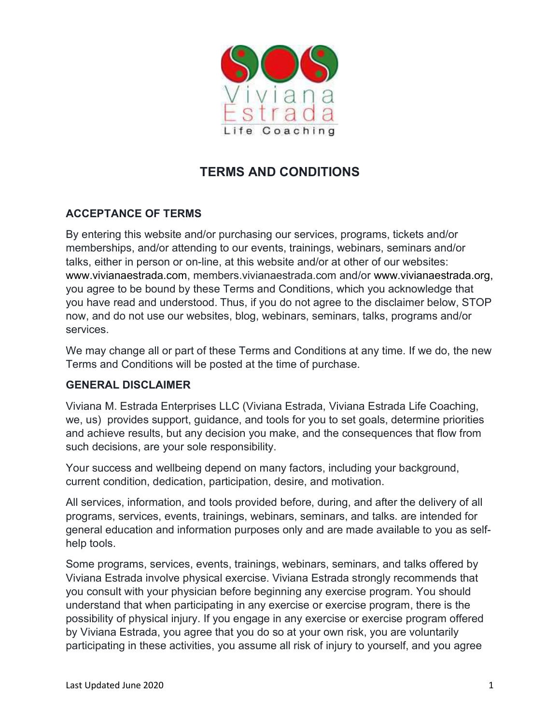

# TERMS AND CONDITIONS

## ACCEPTANCE OF TERMS

By entering this website and/or purchasing our services, programs, tickets and/or memberships, and/or attending to our events, trainings, webinars, seminars and/or talks, either in person or on-line, at this website and/or at other of our websites: www.vivianaestrada.com, members.vivianaestrada.com and/or www.vivianaestrada.org, you agree to be bound by these Terms and Conditions, which you acknowledge that you have read and understood. Thus, if you do not agree to the disclaimer below, STOP now, and do not use our websites, blog, webinars, seminars, talks, programs and/or services.

We may change all or part of these Terms and Conditions at any time. If we do, the new Terms and Conditions will be posted at the time of purchase.

#### GENERAL DISCLAIMER

Viviana M. Estrada Enterprises LLC (Viviana Estrada, Viviana Estrada Life Coaching, we, us) provides support, guidance, and tools for you to set goals, determine priorities and achieve results, but any decision you make, and the consequences that flow from such decisions, are your sole responsibility.

Your success and wellbeing depend on many factors, including your background, current condition, dedication, participation, desire, and motivation.

All services, information, and tools provided before, during, and after the delivery of all programs, services, events, trainings, webinars, seminars, and talks. are intended for general education and information purposes only and are made available to you as selfhelp tools.

Some programs, services, events, trainings, webinars, seminars, and talks offered by Viviana Estrada involve physical exercise. Viviana Estrada strongly recommends that you consult with your physician before beginning any exercise program. You should understand that when participating in any exercise or exercise program, there is the possibility of physical injury. If you engage in any exercise or exercise program offered by Viviana Estrada, you agree that you do so at your own risk, you are voluntarily participating in these activities, you assume all risk of injury to yourself, and you agree